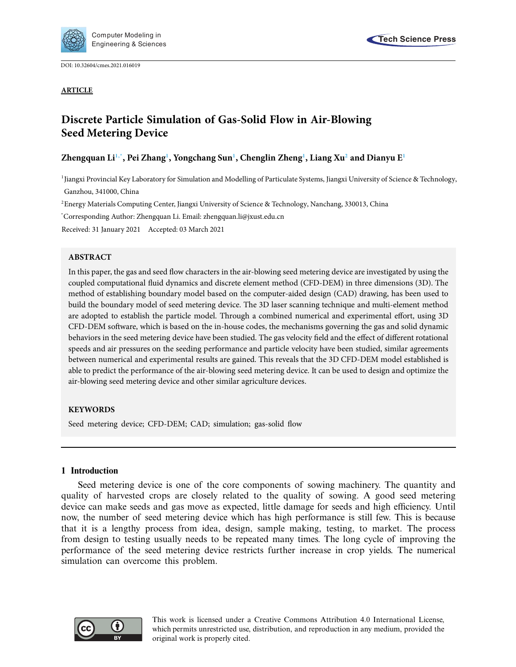

DOI: [10.32604/cmes.2021.016019](http://dx.doi.org/10.32604/cmes.2021.016019)



#### **ARTICLE**

# **Discrete Particle Simulation of Gas-Solid Flow in Air-Blowing Seed Metering Device**

# **Zhengquan L[i1,](#page-0-0)[\\*,](#page-0-1) Pei Zhan[g1](#page-0-0) , Yongchang Su[n1](#page-0-0) , Chenglin Zhen[g1](#page-0-0) , Liang X[u2](#page-0-2) and Dianyu [E1](#page-0-0)**

<span id="page-0-0"></span><sup>1</sup>Jiangxi Provincial Key Laboratory for Simulation and Modelling of Particulate Systems, Jiangxi University of Science & Technology, Ganzhou, 341000, China

<span id="page-0-2"></span>2 Energy Materials Computing Center, Jiangxi University of Science & Technology, Nanchang, 330013, China

<span id="page-0-1"></span>\* Corresponding Author: Zhengquan Li. Email: zhengquan.li@jxust.edu.cn

Received: 31 January 2021 Accepted: 03 March 2021

## **ABSTRACT**

In this paper, the gas and seed flow characters in the air-blowing seed metering device are investigated by using the coupled computational fluid dynamics and discrete element method (CFD-DEM) in three dimensions (3D). The method of establishing boundary model based on the computer-aided design (CAD) drawing, has been used to build the boundary model of seed metering device. The 3D laser scanning technique and multi-element method are adopted to establish the particle model. Through a combined numerical and experimental effort, using 3D CFD-DEM software, which is based on the in-house codes, the mechanisms governing the gas and solid dynamic behaviors in the seed metering device have been studied. The gas velocity field and the effect of different rotational speeds and air pressures on the seeding performance and particle velocity have been studied, similar agreements between numerical and experimental results are gained. This reveals that the 3D CFD-DEM model established is able to predict the performance of the air-blowing seed metering device. It can be used to design and optimize the air-blowing seed metering device and other similar agriculture devices.

## **KEYWORDS**

Seed metering device; CFD-DEM; CAD; simulation; gas-solid flow

## **1 Introduction**

Seed metering device is one of the core components of sowing machinery. The quantity and quality of harvested crops are closely related to the quality of sowing. A good seed metering device can make seeds and gas move as expected, little damage for seeds and high efficiency. Until now, the number of seed metering device which has high performance is still few. This is because that it is a lengthy process from idea, design, sample making, testing, to market. The process from design to testing usually needs to be repeated many times. The long cycle of improving the performance of the seed metering device restricts further increase in crop yields. The numerical simulation can overcome this problem.



This work is licensed under a Creative Commons Attribution 4.0 International License, which permits unrestricted use, distribution, and reproduction in any medium, provided the original work is properly cited.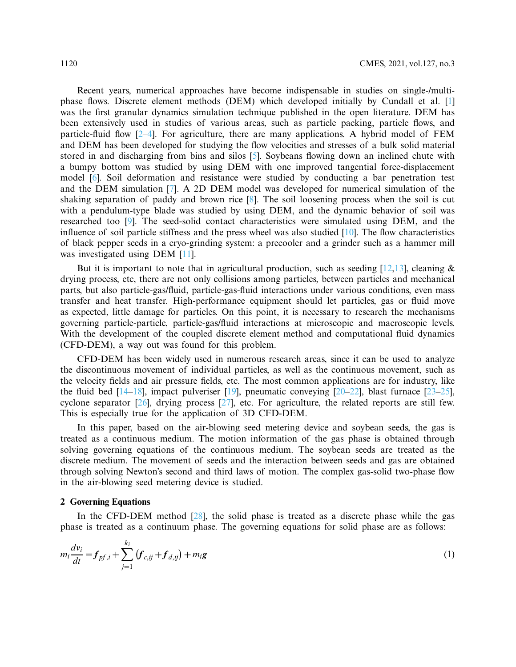Recent years, numerical approaches have become indispensable in studies on single-/multiphase flows. Discrete element methods (DEM) which developed initially by Cundall et al. [\[1\]](#page-12-0) was the first granular dynamics simulation technique published in the open literature. DEM has been extensively used in studies of various areas, such as particle packing, particle flows, and particle-fluid flow [\[2](#page-12-1)[–4\]](#page-12-2). For agriculture, there are many applications. A hybrid model of FEM and DEM has been developed for studying the flow velocities and stresses of a bulk solid material stored in and discharging from bins and silos [\[5\]](#page-12-3). Soybeans flowing down an inclined chute with a bumpy bottom was studied by using DEM with one improved tangential force-displacement model [\[6\]](#page-12-4). Soil deformation and resistance were studied by conducting a bar penetration test and the DEM simulation [\[7\]](#page-12-5). A 2D DEM model was developed for numerical simulation of the shaking separation of paddy and brown rice  $[8]$  $[8]$ . The soil loosening process when the soil is cut with a pendulum-type blade was studied by using DEM, and the dynamic behavior of soil was researched too [\[9\]](#page-12-7). The seed-solid contact characteristics were simulated using DEM, and the influence of soil particle stiffness and the press wheel was also studied [\[10\]](#page-12-8). The flow characteristics of black pepper seeds in a cryo-grinding system: a precooler and a grinder such as a hammer mill was investigated using DEM [\[11](#page-12-9)].

But it is important to note that in agricultural production, such as seeding  $[12,13]$  $[12,13]$  $[12,13]$ , cleaning & drying process, etc, there are not only collisions among particles, between particles and mechanical parts, but also particle-gas/fluid, particle-gas-fluid interactions under various conditions, even mass transfer and heat transfer. High-performance equipment should let particles, gas or fluid move as expected, little damage for particles. On this point, it is necessary to research the mechanisms governing particle-particle, particle-gas/fluid interactions at microscopic and macroscopic levels. With the development of the coupled discrete element method and computational fluid dynamics (CFD-DEM), a way out was found for this problem.

CFD-DEM has been widely used in numerous research areas, since it can be used to analyze the discontinuous movement of individual particles, as well as the continuous movement, such as the velocity fields and air pressure fields, etc. The most common applications are for industry, like the fluid bed  $[14-18]$  $[14-18]$ , impact pulveriser  $[19]$ , pneumatic conveying  $[20-22]$  $[20-22]$ , blast furnace  $[23-25]$  $[23-25]$ , cyclone separator [\[26](#page-13-6)], drying process [\[27\]](#page-13-7), etc. For agriculture, the related reports are still few. This is especially true for the application of 3D CFD-DEM.

In this paper, based on the air-blowing seed metering device and soybean seeds, the gas is treated as a continuous medium. The motion information of the gas phase is obtained through solving governing equations of the continuous medium. The soybean seeds are treated as the discrete medium. The movement of seeds and the interaction between seeds and gas are obtained through solving Newton's second and third laws of motion. The complex gas-solid two-phase flow in the air-blowing seed metering device is studied.

#### **2 Governing Equations**

In the CFD-DEM method  $[28]$ , the solid phase is treated as a discrete phase while the gas phase is treated as a continuum phase. The governing equations for solid phase are as follows:

$$
m_i \frac{d\mathbf{v}_i}{dt} = f_{pf,i} + \sum_{j=1}^{k_i} (f_{c,ij} + f_{d,ij}) + m_i \mathbf{g}
$$
 (1)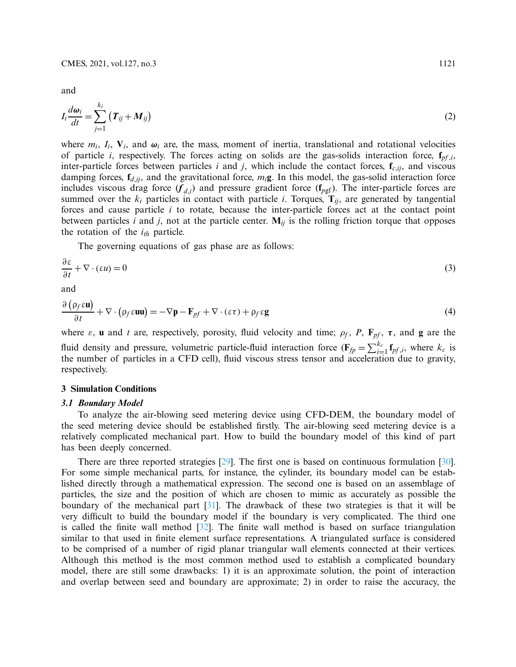and

$$
I_i \frac{d\omega_i}{dt} = \sum_{j=1}^{k_i} \left( T_{ij} + M_{ij} \right) \tag{2}
$$

where  $m_i$ ,  $I_i$ ,  $V_i$ , and  $\omega_i$  are, the mass, moment of inertia, translational and rotational velocities of particle *i*, respectively. The forces acting on solids are the gas-solids interaction force, **f***pf* ,*i*, inter-particle forces between particles *i* and *j*, which include the contact forces,  $f_{c,ij}$ , and viscous damping forces,  $f_{d,ij}$ , and the gravitational force,  $m_i$ g. In this model, the gas-solid interaction force includes viscous drag force  $(f_{d,i})$  and pressure gradient force  $(f_{pgf})$ . The inter-particle forces are summed over the  $k_i$  particles in contact with particle *i*. Torques,  $\mathbf{T}_{ij}$ , are generated by tangential forces and cause particle *i* to rotate, because the inter-particle forces act at the contact point between particles *i* and *j*, not at the particle center.  $M_{ij}$  is the rolling friction torque that opposes the rotation of the  $i_{th}$  particle.

The governing equations of gas phase are as follows:

$$
\frac{\partial \varepsilon}{\partial t} + \nabla \cdot (\varepsilon u) = 0 \tag{3}
$$

and

$$
\frac{\partial (\rho_f \epsilon \mathbf{u})}{\partial t} + \nabla \cdot (\rho_f \epsilon \mathbf{u} \mathbf{u}) = -\nabla \mathbf{p} - \mathbf{F}_{pf} + \nabla \cdot (\epsilon \tau) + \rho_f \epsilon \mathbf{g}
$$
(4)

where  $\varepsilon$ , **u** and *t* are, respectively, porosity, fluid velocity and time;  $\rho_f$ ,  $P$ ,  $\mathbf{F}_{pf}$ ,  $\tau$ , and **g** are the fluid density and pressure, volumetric particle-fluid interaction force  $(\mathbf{F}_{fp} = \sum_{i=1}^{k_c} \mathbf{f}_{pf,i}$ , where  $k_c$  is the number of particles in a CFD cell), fluid viscous stress tensor and acceleration due to gravity, respectively.

## **3 Simulation Conditions**

#### *3.1 Boundary Model*

To analyze the air-blowing seed metering device using CFD-DEM, the boundary model of the seed metering device should be established firstly. The air-blowing seed metering device is a relatively complicated mechanical part. How to build the boundary model of this kind of part has been deeply concerned.

There are three reported strategies [\[29\]](#page-13-9). The first one is based on continuous formulation [\[30\]](#page-13-10). For some simple mechanical parts, for instance, the cylinder, its boundary model can be established directly through a mathematical expression. The second one is based on an assemblage of particles, the size and the position of which are chosen to mimic as accurately as possible the boundary of the mechanical part [\[31\]](#page-13-11). The drawback of these two strategies is that it will be very difficult to build the boundary model if the boundary is very complicated. The third one is called the finite wall method [\[32\]](#page-13-12). The finite wall method is based on surface triangulation similar to that used in finite element surface representations. A triangulated surface is considered to be comprised of a number of rigid planar triangular wall elements connected at their vertices. Although this method is the most common method used to establish a complicated boundary model, there are still some drawbacks: 1) it is an approximate solution, the point of interaction and overlap between seed and boundary are approximate; 2) in order to raise the accuracy, the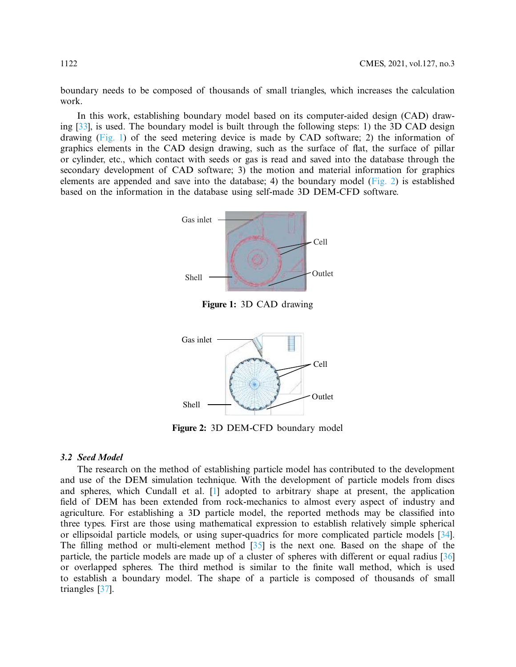boundary needs to be composed of thousands of small triangles, which increases the calculation work.

In this work, establishing boundary model based on its computer-aided design (CAD) drawing [\[33](#page-13-13)], is used. The boundary model is built through the following steps: 1) the 3D CAD design drawing  $(Fig. 1)$  of the seed metering device is made by CAD software; 2) the information of graphics elements in the CAD design drawing, such as the surface of flat, the surface of pillar or cylinder, etc., which contact with seeds or gas is read and saved into the database through the secondary development of CAD software; 3) the motion and material information for graphics elements are appended and save into the database; 4) the boundary model [\(Fig. 2\)](#page-3-1) is established based on the information in the database using self-made 3D DEM-CFD software.



<span id="page-3-0"></span>



<span id="page-3-1"></span>**Figure 2:** 3D DEM-CFD boundary model

#### *3.2 Seed Model*

The research on the method of establishing particle model has contributed to the development and use of the DEM simulation technique. With the development of particle models from discs and spheres, which Cundall et al. [\[1\]](#page-12-0) adopted to arbitrary shape at present, the application field of DEM has been extended from rock-mechanics to almost every aspect of industry and agriculture. For establishing a 3D particle model, the reported methods may be classified into three types. First are those using mathematical expression to establish relatively simple spherical or ellipsoidal particle models, or using super-quadrics for more complicated particle models [\[34\]](#page-13-14). The filling method or multi-element method [\[35](#page-13-15)] is the next one. Based on the shape of the particle, the particle models are made up of a cluster of spheres with different or equal radius [\[36\]](#page-13-16) or overlapped spheres. The third method is similar to the finite wall method, which is used to establish a boundary model. The shape of a particle is composed of thousands of small triangles [\[37\]](#page-13-17).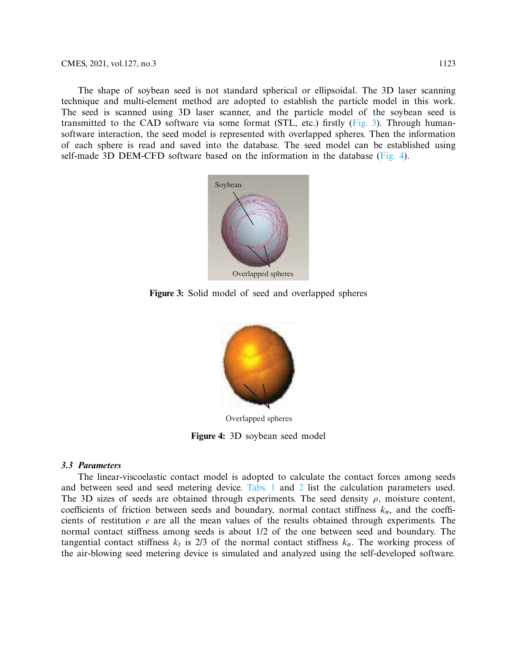#### CMES, 2021, vol.127, no.3 1123

The shape of soybean seed is not standard spherical or ellipsoidal. The 3D laser scanning technique and multi-element method are adopted to establish the particle model in this work. The seed is scanned using 3D laser scanner, and the particle model of the soybean seed is transmitted to the CAD software via some format (STL, etc.) firstly [\(Fig. 3\)](#page-4-0). Through humansoftware interaction, the seed model is represented with overlapped spheres. Then the information of each sphere is read and saved into the database. The seed model can be established using self-made 3D DEM-CFD software based on the information in the database [\(Fig. 4\)](#page-4-1).



**Figure 3:** Solid model of seed and overlapped spheres

<span id="page-4-0"></span>

Overlapped spheres

<span id="page-4-1"></span>**Figure 4:** 3D soybean seed model

#### *3.3 Parameters*

The linear-viscoelastic contact model is adopted to calculate the contact forces among seeds and between seed and seed metering device. [Tabs. 1](#page-5-0) and [2](#page-5-1) list the calculation parameters used. The 3D sizes of seeds are obtained through experiments. The seed density  $\rho$ , moisture content, coefficients of friction between seeds and boundary, normal contact stiffness  $k_n$ , and the coefficients of restitution *e* are all the mean values of the results obtained through experiments. The normal contact stiffness among seeds is about 1/2 of the one between seed and boundary. The tangential contact stiffness  $k_t$  is 2/3 of the normal contact stiffness  $k_n$ . The working process of the air-blowing seed metering device is simulated and analyzed using the self-developed software.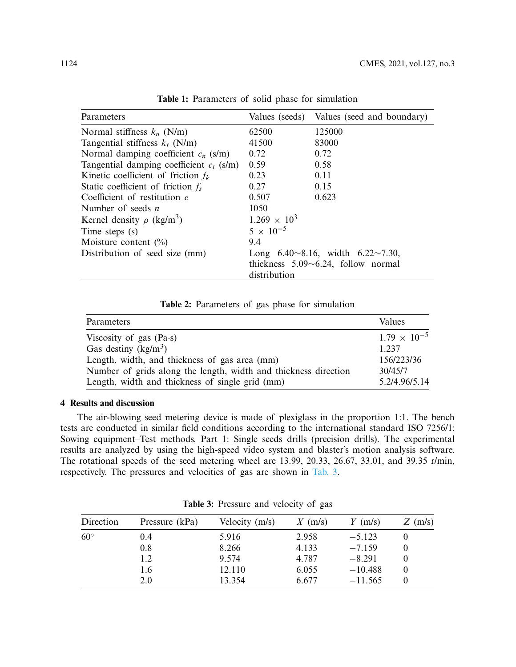| Parameters                                 |                                                  | Values (seeds) Values (seed and boundary) |  |  |  |
|--------------------------------------------|--------------------------------------------------|-------------------------------------------|--|--|--|
| Normal stiffness $k_n$ (N/m)               | 62500                                            | 125000                                    |  |  |  |
| Tangential stiffness $k_t$ (N/m)           | 41500                                            | 83000                                     |  |  |  |
| Normal damping coefficient $c_n$ (s/m)     | 0.72                                             | 0.72                                      |  |  |  |
| Tangential damping coefficient $c_t$ (s/m) | 0.59                                             | 0.58                                      |  |  |  |
| Kinetic coefficient of friction $f_k$      | 0.23                                             | 0.11                                      |  |  |  |
| Static coefficient of friction $f_s$       | 0.27                                             | 0.15                                      |  |  |  |
| Coefficient of restitution e               | 0.507                                            | 0.623                                     |  |  |  |
| Number of seeds $n$                        | 1050                                             |                                           |  |  |  |
| Kernel density $\rho$ (kg/m <sup>3</sup> ) | $1.269 \times 10^{3}$                            |                                           |  |  |  |
| Time steps (s)                             | $5 \times 10^{-5}$                               |                                           |  |  |  |
| Moisture content $(\%)$                    | 9.4                                              |                                           |  |  |  |
| Distribution of seed size (mm)             | Long $6.40 \sim 8.16$ , width $6.22 \sim 7.30$ , |                                           |  |  |  |
|                                            | thickness $5.09 \sim 6.24$ , follow normal       |                                           |  |  |  |
|                                            | distribution                                     |                                           |  |  |  |

<span id="page-5-0"></span>**Table 1:** Parameters of solid phase for simulation

<span id="page-5-1"></span>**Table 2:** Parameters of gas phase for simulation

| Parameters                                                      | Values                |
|-----------------------------------------------------------------|-----------------------|
| Viscosity of gas $(Pa-s)$                                       | $1.79 \times 10^{-5}$ |
| Gas destiny $(kg/m^3)$                                          | 1 237                 |
| Length, width, and thickness of gas area (mm)                   | 156/223/36            |
| Number of grids along the length, width and thickness direction | 30/45/7               |
| Length, width and thickness of single grid (mm)                 | 5.2/4.96/5.14         |

# **4 Results and discussion**

The air-blowing seed metering device is made of plexiglass in the proportion 1:1. The bench tests are conducted in similar field conditions according to the international standard ISO 7256/1: Sowing equipment–Test methods. Part 1: Single seeds drills (precision drills). The experimental results are analyzed by using the high-speed video system and blaster's motion analysis software. The rotational speeds of the seed metering wheel are 13.99, 20.33, 26.67, 33.01, and 39.35 r/min, respectively. The pressures and velocities of gas are shown in [Tab. 3.](#page-5-2)

| Direction                                                                                      | Pressure (kPa) | Velocity (m/s) | $X$ (m/s) | $Y$ (m/s) | $Z$ (m/s) |
|------------------------------------------------------------------------------------------------|----------------|----------------|-----------|-----------|-----------|
| $60^{\circ}$<br>5.916<br>0.4<br>0.8<br>8.266<br>9.574<br>1.2<br>12.110<br>1.6<br>13.354<br>2.0 |                |                | 2.958     | $-5.123$  |           |
|                                                                                                |                |                | 4.133     | $-7.159$  |           |
|                                                                                                |                | 4.787          | $-8.291$  |           |           |
|                                                                                                |                | 6.055          | $-10.488$ |           |           |
|                                                                                                |                |                | 6.677     | $-11.565$ |           |

<span id="page-5-2"></span>**Table 3:** Pressure and velocity of gas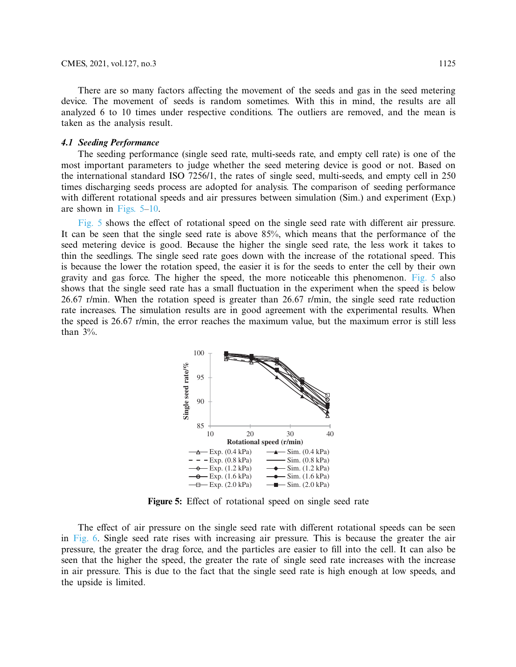There are so many factors affecting the movement of the seeds and gas in the seed metering device. The movement of seeds is random sometimes. With this in mind, the results are all analyzed 6 to 10 times under respective conditions. The outliers are removed, and the mean is taken as the analysis result.

#### *4.1 Seeding Performance*

The seeding performance (single seed rate, multi-seeds rate, and empty cell rate) is one of the most important parameters to judge whether the seed metering device is good or not. Based on the international standard ISO 7256/1, the rates of single seed, multi-seeds, and empty cell in 250 times discharging seeds process are adopted for analysis. The comparison of seeding performance with different rotational speeds and air pressures between simulation (Sim.) and experiment (Exp.) are shown in [Figs. 5–](#page-6-0)[10.](#page-8-0)

[Fig. 5](#page-6-0) shows the effect of rotational speed on the single seed rate with different air pressure. It can be seen that the single seed rate is above 85%, which means that the performance of the seed metering device is good. Because the higher the single seed rate, the less work it takes to thin the seedlings. The single seed rate goes down with the increase of the rotational speed. This is because the lower the rotation speed, the easier it is for the seeds to enter the cell by their own gravity and gas force. The higher the speed, the more noticeable this phenomenon. [Fig. 5](#page-6-0) also shows that the single seed rate has a small fluctuation in the experiment when the speed is below 26.67 r/min. When the rotation speed is greater than 26.67 r/min, the single seed rate reduction rate increases. The simulation results are in good agreement with the experimental results. When the speed is 26.67 r/min, the error reaches the maximum value, but the maximum error is still less than  $3\%$ .



<span id="page-6-0"></span>**Figure 5:** Effect of rotational speed on single seed rate

The effect of air pressure on the single seed rate with different rotational speeds can be seen in [Fig. 6.](#page-7-0) Single seed rate rises with increasing air pressure. This is because the greater the air pressure, the greater the drag force, and the particles are easier to fill into the cell. It can also be seen that the higher the speed, the greater the rate of single seed rate increases with the increase in air pressure. This is due to the fact that the single seed rate is high enough at low speeds, and the upside is limited.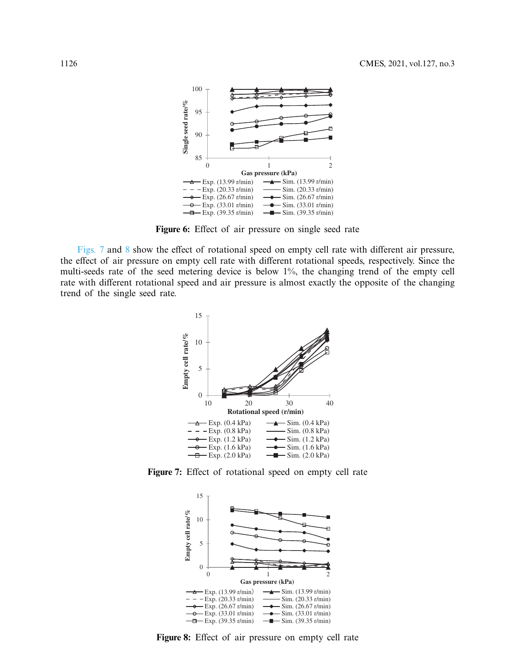

<span id="page-7-0"></span>**Figure 6:** Effect of air pressure on single seed rate

[Figs. 7](#page-7-1) and [8](#page-7-2) show the effect of rotational speed on empty cell rate with different air pressure, the effect of air pressure on empty cell rate with different rotational speeds, respectively. Since the multi-seeds rate of the seed metering device is below 1%, the changing trend of the empty cell rate with different rotational speed and air pressure is almost exactly the opposite of the changing trend of the single seed rate.



**Figure 7:** Effect of rotational speed on empty cell rate

<span id="page-7-1"></span>

<span id="page-7-2"></span>**Figure 8:** Effect of air pressure on empty cell rate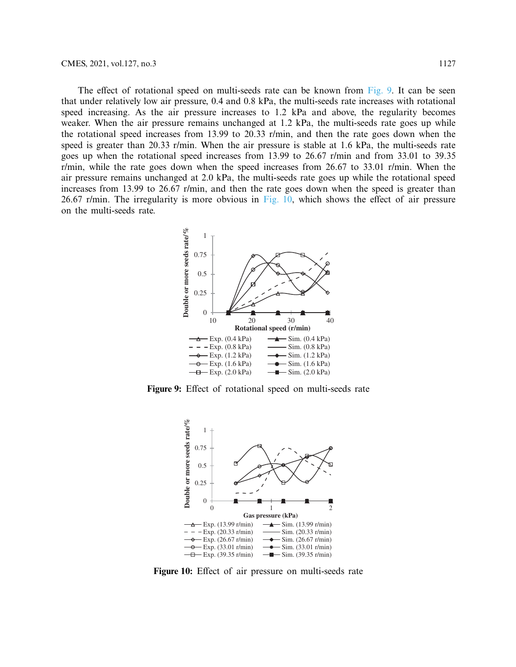The effect of rotational speed on multi-seeds rate can be known from [Fig. 9.](#page-8-1) It can be seen that under relatively low air pressure, 0.4 and 0.8 kPa, the multi-seeds rate increases with rotational speed increasing. As the air pressure increases to 1.2 kPa and above, the regularity becomes weaker. When the air pressure remains unchanged at 1.2 kPa, the multi-seeds rate goes up while the rotational speed increases from 13.99 to 20.33 r/min, and then the rate goes down when the speed is greater than 20.33 r/min. When the air pressure is stable at 1.6 kPa, the multi-seeds rate goes up when the rotational speed increases from 13.99 to 26.67 r/min and from 33.01 to 39.35 r/min, while the rate goes down when the speed increases from 26.67 to 33.01 r/min. When the air pressure remains unchanged at 2.0 kPa, the multi-seeds rate goes up while the rotational speed increases from 13.99 to 26.67 r/min, and then the rate goes down when the speed is greater than 26.67 r/min. The irregularity is more obvious in [Fig. 10,](#page-8-0) which shows the effect of air pressure on the multi-seeds rate.



**Figure 9:** Effect of rotational speed on multi-seeds rate

<span id="page-8-1"></span>

<span id="page-8-0"></span>**Figure 10:** Effect of air pressure on multi-seeds rate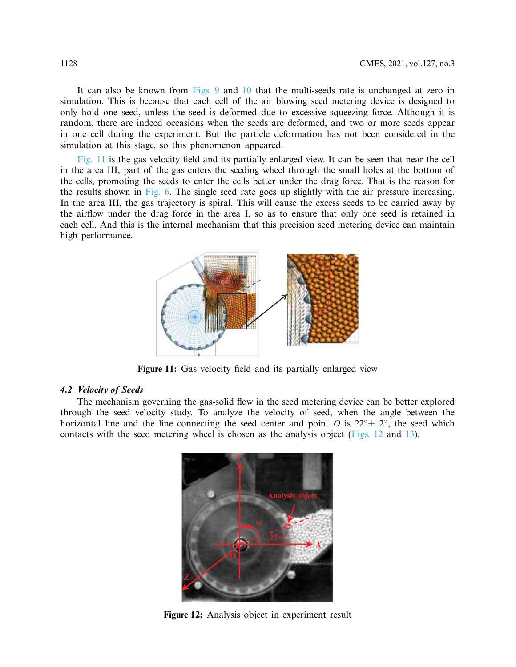It can also be known from [Figs. 9](#page-8-1) and [10](#page-8-0) that the multi-seeds rate is unchanged at zero in simulation. This is because that each cell of the air blowing seed metering device is designed to only hold one seed, unless the seed is deformed due to excessive squeezing force. Although it is random, there are indeed occasions when the seeds are deformed, and two or more seeds appear in one cell during the experiment. But the particle deformation has not been considered in the simulation at this stage, so this phenomenon appeared.

[Fig. 11](#page-9-0) is the gas velocity field and its partially enlarged view. It can be seen that near the cell in the area III, part of the gas enters the seeding wheel through the small holes at the bottom of the cells, promoting the seeds to enter the cells better under the drag force. That is the reason for the results shown in [Fig. 6.](#page-7-0) The single seed rate goes up slightly with the air pressure increasing. In the area III, the gas trajectory is spiral. This will cause the excess seeds to be carried away by the airflow under the drag force in the area I, so as to ensure that only one seed is retained in each cell. And this is the internal mechanism that this precision seed metering device can maintain high performance.



<span id="page-9-0"></span>**Figure 11:** Gas velocity field and its partially enlarged view

#### *4.2 Velocity of Seeds*

The mechanism governing the gas-solid flow in the seed metering device can be better explored through the seed velocity study. To analyze the velocity of seed, when the angle between the horizontal line and the line connecting the seed center and point *O* is  $22°± 2°$ , the seed which contacts with the seed metering wheel is chosen as the analysis object [\(Figs. 12](#page-9-1) and [13\)](#page-10-0).

<span id="page-9-1"></span>

**Figure 12:** Analysis object in experiment result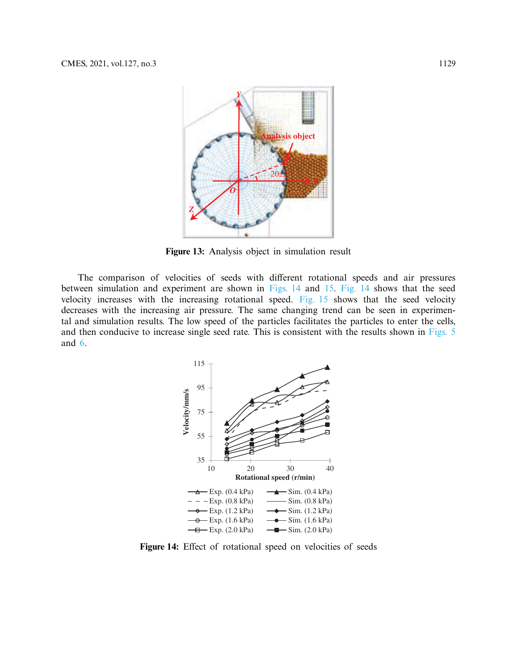

<span id="page-10-0"></span>**Figure 13:** Analysis object in simulation result

The comparison of velocities of seeds with different rotational speeds and air pressures between simulation and experiment are shown in [Figs. 14](#page-10-1) and [15.](#page-11-0) [Fig. 14](#page-10-1) shows that the seed velocity increases with the increasing rotational speed. [Fig. 15](#page-11-0) shows that the seed velocity decreases with the increasing air pressure. The same changing trend can be seen in experimental and simulation results. The low speed of the particles facilitates the particles to enter the cells, and then conducive to increase single seed rate. This is consistent with the results shown in [Figs. 5](#page-6-0) and [6.](#page-7-0)



<span id="page-10-1"></span>Figure 14: Effect of rotational speed on velocities of seeds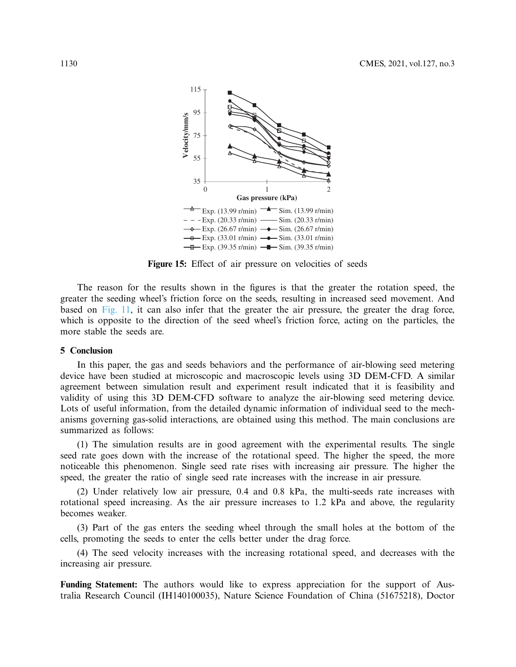

<span id="page-11-0"></span>Figure 15: Effect of air pressure on velocities of seeds

The reason for the results shown in the figures is that the greater the rotation speed, the greater the seeding wheel's friction force on the seeds, resulting in increased seed movement. And based on [Fig. 11,](#page-9-0) it can also infer that the greater the air pressure, the greater the drag force, which is opposite to the direction of the seed wheel's friction force, acting on the particles, the more stable the seeds are.

#### **5 Conclusion**

In this paper, the gas and seeds behaviors and the performance of air-blowing seed metering device have been studied at microscopic and macroscopic levels using 3D DEM-CFD. A similar agreement between simulation result and experiment result indicated that it is feasibility and validity of using this 3D DEM-CFD software to analyze the air-blowing seed metering device. Lots of useful information, from the detailed dynamic information of individual seed to the mechanisms governing gas-solid interactions, are obtained using this method. The main conclusions are summarized as follows:

(1) The simulation results are in good agreement with the experimental results. The single seed rate goes down with the increase of the rotational speed. The higher the speed, the more noticeable this phenomenon. Single seed rate rises with increasing air pressure. The higher the speed, the greater the ratio of single seed rate increases with the increase in air pressure.

(2) Under relatively low air pressure, 0.4 and 0.8 kPa, the multi-seeds rate increases with rotational speed increasing. As the air pressure increases to 1.2 kPa and above, the regularity becomes weaker.

(3) Part of the gas enters the seeding wheel through the small holes at the bottom of the cells, promoting the seeds to enter the cells better under the drag force.

(4) The seed velocity increases with the increasing rotational speed, and decreases with the increasing air pressure.

Funding Statement: The authors would like to express appreciation for the support of Australia Research Council (IH140100035), Nature Science Foundation of China (51675218), Doctor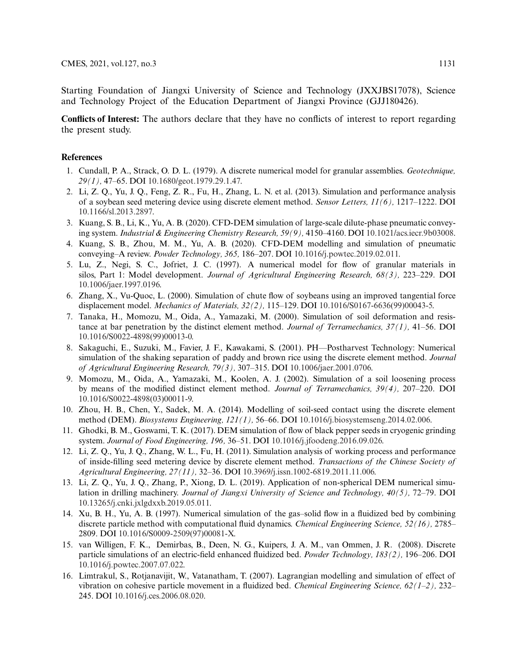Starting Foundation of Jiangxi University of Science and Technology (JXXJBS17078), Science and Technology Project of the Education Department of Jiangxi Province (GJJ180426).

**Conflicts of Interest:** The authors declare that they have no conflicts of interest to report regarding the present study.

#### **References**

- <span id="page-12-0"></span>1. Cundall, P. A., Strack, O. D. L. (1979). A discrete numerical model for granular assemblies. *Geotechnique, 29(1),* 47–65. DOI [10.1680/geot.1979.29.1.47.](http://dx.doi.org/10.1680/geot.1979.29.1.47)
- <span id="page-12-1"></span>2. Li, Z. Q., Yu, J. Q., Feng, Z. R., Fu, H., Zhang, L. N. et al. (2013). Simulation and performance analysis of a soybean seed metering device using discrete element method. *Sensor Letters, 11(6),* 1217–1222. DOI [10.1166/sl.2013.2897.](http://dx.doi.org/10.1166/sl.2013.2897)
- 3. Kuang, S. B., Li, K., Yu, A. B. (2020). CFD-DEM simulation of large-scale dilute-phase pneumatic conveying system. *Industrial & Engineering Chemistry Research, 59(9),* 4150–4160. DOI [10.1021/acs.iecr.9b03008.](http://dx.doi.org/10.1021/acs.iecr.9b03008)
- <span id="page-12-2"></span>4. Kuang, S. B., Zhou, M. M., Yu, A. B. (2020). CFD-DEM modelling and simulation of pneumatic conveying–A review. *Powder Technology, 365,* 186–207. DOI [10.1016/j.powtec.2019.02.011.](http://dx.doi.org/10.1016/j.powtec.2019.02.011)
- <span id="page-12-3"></span>5. Lu, Z., Negi, S. C., Jofriet, J. C. (1997). A numerical model for flow of granular materials in silos, Part 1: Model development. *Journal of Agricultural Engineering Research, 68(3),* 223–229. DOI [10.1006/jaer.1997.0196.](http://dx.doi.org/10.1006/jaer.1997.0196)
- <span id="page-12-4"></span>6. Zhang, X., Vu-Quoc, L. (2000). Simulation of chute flow of soybeans using an improved tangential force displacement model. *Mechanics of Materials, 32(2),* 115–129. DOI [10.1016/S0167-6636\(99\)00043-5.](http://dx.doi.org/10.1016/S0167-6636(99)00043-5)
- <span id="page-12-5"></span>7. Tanaka, H., Momozu, M., Oida, A., Yamazaki, M. (2000). Simulation of soil deformation and resistance at bar penetration by the distinct element method. *Journal of Terramechanics, 37(1),* 41–56. DOI [10.1016/S0022-4898\(99\)00013-0.](http://dx.doi.org/10.1016/S0022-4898(99)00013-0)
- <span id="page-12-6"></span>8. Sakaguchi, E., Suzuki, M., Favier, J. F., Kawakami, S. (2001). PH—Postharvest Technology: Numerical simulation of the shaking separation of paddy and brown rice using the discrete element method. *Journal of Agricultural Engineering Research, 79(3),* 307–315. DOI [10.1006/jaer.2001.0706.](http://dx.doi.org/10.1006/jaer.2001.0706)
- <span id="page-12-7"></span>9. Momozu, M., Oida, A., Yamazaki, M., Koolen, A. J. (2002). Simulation of a soil loosening process by means of the modified distinct element method. *Journal of Terramechanics, 39(4),* 207–220. DOI [10.1016/S0022-4898\(03\)00011-9.](http://dx.doi.org/10.1016/S0022-4898(03)00011-9)
- <span id="page-12-8"></span>10. Zhou, H. B., Chen, Y., Sadek, M. A. (2014). Modelling of soil-seed contact using the discrete element method (DEM). *Biosystems Engineering, 121(1),* 56–66. DOI [10.1016/j.biosystemseng.2014.02.006.](http://dx.doi.org/10.1016/j.biosystemseng.2014.02.006)
- <span id="page-12-9"></span>11. Ghodki, B. M., Goswami, T. K. (2017). DEM simulation of flow of black pepper seeds in cryogenic grinding system. *Journal of Food Engineering, 196,* 36–51. DOI [10.1016/j.jfoodeng.2016.09.026.](http://dx.doi.org/10.1016/j.jfoodeng.2016.09.026)
- <span id="page-12-10"></span>12. Li, Z. Q., Yu, J. Q., Zhang, W. L., Fu, H. (2011). Simulation analysis of working process and performance of inside-filling seed metering device by discrete element method. *Transactions of the Chinese Society of Agricultural Engineering, 27(11),* 32–36. DOI [10.3969/j.issn.1002-6819.2011.11.006.](http://dx.doi.org/10.3969/j.issn.1002-6819.2011.11.006)
- <span id="page-12-11"></span>13. Li, Z. Q., Yu, J. Q., Zhang, P., Xiong, D. L. (2019). Application of non-spherical DEM numerical simulation in drilling machinery. *Journal of Jiangxi University of Science and Technology, 40(5),* 72–79. DOI [10.13265/j.cnki.jxlgdxxb.2019.05.011.](http://dx.doi.org/10.13265/j.cnki.jxlgdxxb.2019.05.011)
- <span id="page-12-12"></span>14. Xu, B. H., Yu, A. B. (1997). Numerical simulation of the gas–solid flow in a fluidized bed by combining discrete particle method with computational fluid dynamics. *Chemical Engineering Science, 52(16),* 2785– 2809. DOI [10.1016/S0009-2509\(97\)00081-X.](http://dx.doi.org/10.1016/S0009-2509(97)00081-X)
- 15. van Willigen, F. K., Demirbas, B., Deen, N. G., Kuipers, J. A. M., van Ommen, J. R. (2008). Discrete particle simulations of an electric-field enhanced fluidized bed. *Powder Technology, 183(2),* 196–206. DOI [10.1016/j.powtec.2007.07.022.](http://dx.doi.org/10.1016/j.powtec.2007.07.022)
- 16. Limtrakul, S., Rotjanavijit, W., Vatanatham, T. (2007). Lagrangian modelling and simulation of effect of vibration on cohesive particle movement in a fluidized bed. *Chemical Engineering Science, 62(1–2),* 232– 245. DOI [10.1016/j.ces.2006.08.020.](http://dx.doi.org/10.1016/j.ces.2006.08.020)